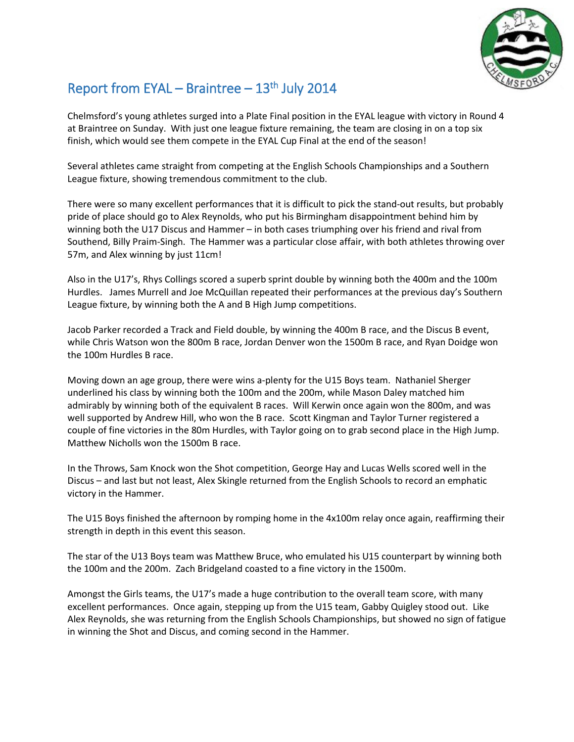

## Report from EYAL – Braintree – 13<sup>th</sup> July 2014

Chelmsford's young athletes surged into a Plate Final position in the EYAL league with victory in Round 4 at Braintree on Sunday. With just one league fixture remaining, the team are closing in on a top six finish, which would see them compete in the EYAL Cup Final at the end of the season!

Several athletes came straight from competing at the English Schools Championships and a Southern League fixture, showing tremendous commitment to the club.

There were so many excellent performances that it is difficult to pick the stand-out results, but probably pride of place should go to Alex Reynolds, who put his Birmingham disappointment behind him by winning both the U17 Discus and Hammer – in both cases triumphing over his friend and rival from Southend, Billy Praim-Singh. The Hammer was a particular close affair, with both athletes throwing over 57m, and Alex winning by just 11cm!

Also in the U17's, Rhys Collings scored a superb sprint double by winning both the 400m and the 100m Hurdles. James Murrell and Joe McQuillan repeated their performances at the previous day's Southern League fixture, by winning both the A and B High Jump competitions.

Jacob Parker recorded a Track and Field double, by winning the 400m B race, and the Discus B event, while Chris Watson won the 800m B race, Jordan Denver won the 1500m B race, and Ryan Doidge won the 100m Hurdles B race.

Moving down an age group, there were wins a-plenty for the U15 Boys team. Nathaniel Sherger underlined his class by winning both the 100m and the 200m, while Mason Daley matched him admirably by winning both of the equivalent B races. Will Kerwin once again won the 800m, and was well supported by Andrew Hill, who won the B race. Scott Kingman and Taylor Turner registered a couple of fine victories in the 80m Hurdles, with Taylor going on to grab second place in the High Jump. Matthew Nicholls won the 1500m B race.

In the Throws, Sam Knock won the Shot competition, George Hay and Lucas Wells scored well in the Discus – and last but not least, Alex Skingle returned from the English Schools to record an emphatic victory in the Hammer.

The U15 Boys finished the afternoon by romping home in the 4x100m relay once again, reaffirming their strength in depth in this event this season.

The star of the U13 Boys team was Matthew Bruce, who emulated his U15 counterpart by winning both the 100m and the 200m. Zach Bridgeland coasted to a fine victory in the 1500m.

Amongst the Girls teams, the U17's made a huge contribution to the overall team score, with many excellent performances. Once again, stepping up from the U15 team, Gabby Quigley stood out. Like Alex Reynolds, she was returning from the English Schools Championships, but showed no sign of fatigue in winning the Shot and Discus, and coming second in the Hammer.